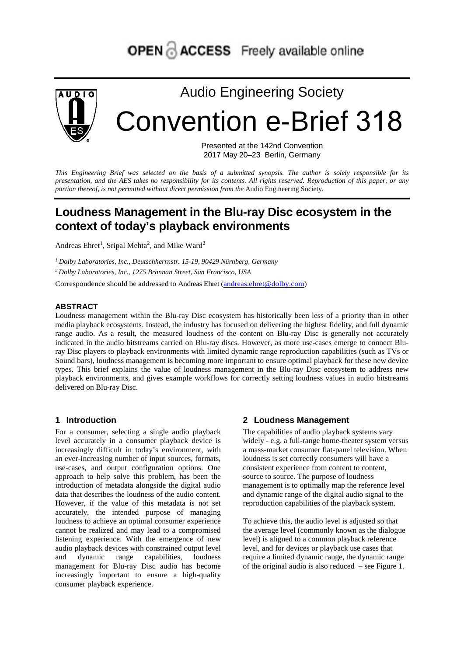

# Audio Engineering Society Convention e-Brief 318

Presented at the 142nd Convention 2017 May 20–23 Berlin, Germany

*This Engineering Brief was selected on the basis of a submitted synopsis. The author is solely responsible for its presentation, and the AES takes no responsibility for its contents. All rights reserved. Reproduction of this paper, or any portion thereof, is not permitted without direct permission from the* Audio Engineering Society.

# **Loudness Management in the Blu-ray Disc ecosystem in the context of today's playback environments**

Andreas Ehret<sup>1</sup>, Sripal Mehta<sup>2</sup>, and Mike Ward<sup>2</sup>

*<sup>1</sup> Dolby Laboratories, Inc., Deutschherrnstr. 15-19, 90429 Nürnberg, Germany*

*2 Dolby Laboratories, Inc., 1275 Brannan Street, San Francisco, USA*

Correspondence should be addressed to Andreas Ehret [\(andreas.ehret@dolby.com\)](mailto:andreas.ehret@dolby.com)

#### **ABSTRACT**

Loudness management within the Blu-ray Disc ecosystem has historically been less of a priority than in other media playback ecosystems. Instead, the industry has focused on delivering the highest fidelity, and full dynamic range audio. As a result, the measured loudness of the content on Blu-ray Disc is generally not accurately indicated in the audio bitstreams carried on Blu-ray discs. However, as more use-cases emerge to connect Bluray Disc players to playback environments with limited dynamic range reproduction capabilities (such as TVs or Sound bars), loudness management is becoming more important to ensure optimal playback for these new device types. This brief explains the value of loudness management in the Blu-ray Disc ecosystem to address new playback environments, and gives example workflows for correctly setting loudness values in audio bitstreams delivered on Blu-ray Disc.

#### **1 Introduction**

For a consumer, selecting a single audio playback level accurately in a consumer playback device is increasingly difficult in today's environment, with an ever-increasing number of input sources, formats, use-cases, and output configuration options. One approach to help solve this problem, has been the introduction of metadata alongside the digital audio data that describes the loudness of the audio content. However, if the value of this metadata is not set accurately, the intended purpose of managing loudness to achieve an optimal consumer experience cannot be realized and may lead to a compromised listening experience. With the emergence of new audio playback devices with constrained output level and dynamic range capabilities, loudness management for Blu-ray Disc audio has become increasingly important to ensure a high-quality consumer playback experience.

#### **2 Loudness Management**

The capabilities of audio playback systems vary widely - e.g. a full-range home-theater system versus a mass-market consumer flat-panel television. When loudness is set correctly consumers will have a consistent experience from content to content, source to source. The purpose of loudness management is to optimally map the reference level and dynamic range of the digital audio signal to the reproduction capabilities of the playback system.

To achieve this, the audio level is adjusted so that the average level (commonly known as the dialogue level) is aligned to a common playback reference level, and for devices or playback use cases that require a limited dynamic range, the dynamic range of the original audio is also reduced – see Figure 1.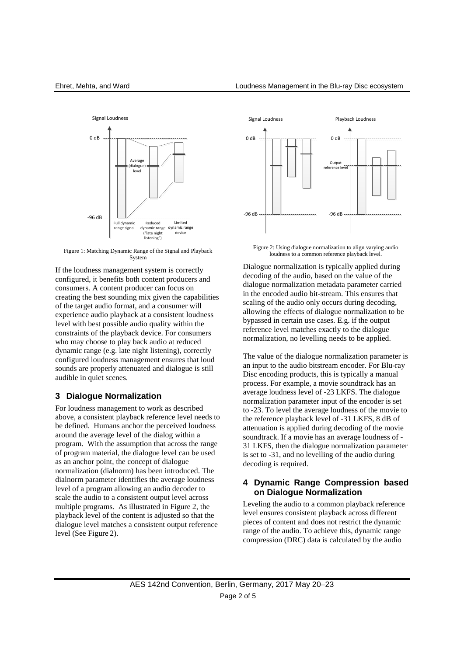

Figure 1: Matching Dynamic Range of the Signal and Playback **System** 

If the loudness management system is correctly configured, it benefits both content producers and consumers. A content producer can focus on creating the best sounding mix given the capabilities of the target audio format, and a consumer will experience audio playback at a consistent loudness level with best possible audio quality within the constraints of the playback device. For consumers who may choose to play back audio at reduced dynamic range (e.g. late night listening), correctly configured loudness management ensures that loud sounds are properly attenuated and dialogue is still audible in quiet scenes.

#### **3 Dialogue Normalization**

For loudness management to work as described above, a consistent playback reference level needs to be defined. Humans anchor the perceived loudness around the average level of the dialog within a program. With the assumption that across the range of program material, the dialogue level can be used as an anchor point, the concept of dialogue normalization (dialnorm) has been introduced. The dialnorm parameter identifies the average loudness level of a program allowing an audio decoder to scale the audio to a consistent output level across multiple programs. As illustrated in [Figure 2,](#page-1-0) the playback level of the content is adjusted so that the dialogue level matches a consistent output reference level (See [Figure](#page-1-0) 2).



<span id="page-1-0"></span>Figure 2: Using dialogue normalization to align varying audio loudness to a common reference playback level.

Dialogue normalization is typically applied during decoding of the audio, based on the value of the dialogue normalization metadata parameter carried in the encoded audio bit-stream. This ensures that scaling of the audio only occurs during decoding, allowing the effects of dialogue normalization to be bypassed in certain use cases. E.g. if the output reference level matches exactly to the dialogue normalization, no levelling needs to be applied.

The value of the dialogue normalization parameter is an input to the audio bitstream encoder. For Blu-ray Disc encoding products, this is typically a manual process. For example, a movie soundtrack has an average loudness level of -23 LKFS. The dialogue normalization parameter input of the encoder is set to -23. To level the average loudness of the movie to the reference playback level of -31 LKFS, 8 dB of attenuation is applied during decoding of the movie soundtrack. If a movie has an average loudness of - 31 LKFS, then the dialogue normalization parameter is set to -31, and no levelling of the audio during decoding is required.

#### **4 Dynamic Range Compression based on Dialogue Normalization**

Leveling the audio to a common playback reference level ensures consistent playback across different pieces of content and does not restrict the dynamic range of the audio. To achieve this, dynamic range compression (DRC) data is calculated by the audio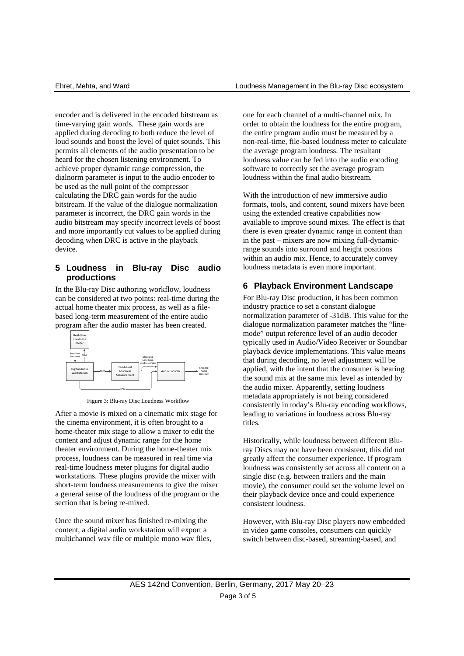encoder and is delivered in the encoded bitstream as time-varying gain words. These gain words are applied during decoding to both reduce the level of loud sounds and boost the level of quiet sounds. This permits all elements of the audio presentation to be heard for the chosen listening environment. To achieve proper dynamic range compression, the dialnorm parameter is input to the audio encoder to be used as the null point of the compressor calculating the DRC gain words for the audio bitstream. If the value of the dialogue normalization parameter is incorrect, the DRC gain words in the audio bitstream may specify incorrect levels of boost and more importantly cut values to be applied during decoding when DRC is active in the playback device.

#### **5 Loudness in Blu-ray Disc audio productions**

In the Blu-ray Disc authoring workflow, loudness can be considered at two points: real-time during the actual home theater mix process, as well as a filebased long-term measurement of the entire audio program after the audio master has been created.





After a movie is mixed on a cinematic mix stage for the cinema environment, it is often brought to a home-theater mix stage to allow a mixer to edit the content and adjust dynamic range for the home theater environment. During the home-theater mix process, loudness can be measured in real time via real-time loudness meter plugins for digital audio workstations. These plugins provide the mixer with short-term loudness measurements to give the mixer a general sense of the loudness of the program or the section that is being re-mixed.

Once the sound mixer has finished re-mixing the content, a digital audio workstation will export a multichannel wav file or multiple mono wav files, one for each channel of a multi-channel mix. In order to obtain the loudness for the entire program, the entire program audio must be measured by a non-real-time, file-based loudness meter to calculate the average program loudness. The resultant loudness value can be fed into the audio encoding software to correctly set the average program loudness within the final audio bitstream.

With the introduction of new immersive audio formats, tools, and content, sound mixers have been using the extended creative capabilities now available to improve sound mixes. The effect is that there is even greater dynamic range in content than in the past – mixers are now mixing full-dynamicrange sounds into surround and height positions within an audio mix. Hence, to accurately convey loudness metadata is even more important.

#### **6 Playback Environment Landscape**

For Blu-ray Disc production, it has been common industry practice to set a constant dialogue normalization parameter of -31dB. This value for the dialogue normalization parameter matches the "linemode" output reference level of an audio decoder typically used in Audio/Video Receiver or Soundbar playback device implementations. This value means that during decoding, no level adjustment will be applied, with the intent that the consumer is hearing the sound mix at the same mix level as intended by the audio mixer. Apparently, setting loudness metadata appropriately is not being considered consistently in today's Blu-ray encoding workflows, leading to variations in loudness across Blu-ray titles.

Historically, while loudness between different Bluray Discs may not have been consistent, this did not greatly affect the consumer experience. If program loudness was consistently set across all content on a single disc (e.g. between trailers and the main movie), the consumer could set the volume level on their playback device once and could experience consistent loudness.

However, with Blu-ray Disc players now embedded in video game consoles, consumers can quickly switch between disc-based, streaming-based, and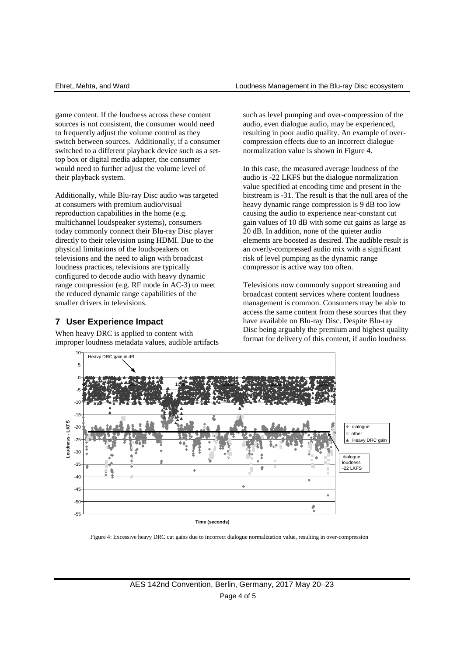game content. If the loudness across these content sources is not consistent, the consumer would need to frequently adjust the volume control as they switch between sources. Additionally, if a consumer switched to a different playback device such as a settop box or digital media adapter, the consumer would need to further adjust the volume level of their playback system.

Additionally, while Blu-ray Disc audio was targeted at consumers with premium audio/visual reproduction capabilities in the home (e.g. multichannel loudspeaker systems), consumers today commonly connect their Blu-ray Disc player directly to their television using HDMI. Due to the physical limitations of the loudspeakers on televisions and the need to align with broadcast loudness practices, televisions are typically configured to decode audio with heavy dynamic range compression (e.g. RF mode in AC-3) to meet the reduced dynamic range capabilities of the smaller drivers in televisions.

# **7 User Experience Impact**

When heavy DRC is applied to content with improper loudness metadata values, audible artifacts such as level pumping and over-compression of the audio, even dialogue audio, may be experienced, resulting in poor audio quality. An example of overcompression effects due to an incorrect dialogue normalization value is shown in Figure 4.

In this case, the measured average loudness of the audio is -22 LKFS but the dialogue normalization value specified at encoding time and present in the bitstream is -31. The result is that the null area of the heavy dynamic range compression is 9 dB too low causing the audio to experience near-constant cut gain values of 10 dB with some cut gains as large as 20 dB. In addition, none of the quieter audio elements are boosted as desired. The audible result is an overly-compressed audio mix with a significant risk of level pumping as the dynamic range compressor is active way too often.

Televisions now commonly support streaming and broadcast content services where content loudness management is common. Consumers may be able to access the same content from these sources that they have available on Blu-ray Disc. Despite Blu-ray Disc being arguably the premium and highest quality format for delivery of this content, if audio loudness



Figure 4: Excessive heavy DRC cut gains due to incorrect dialogue normalization value, resulting in over-compression